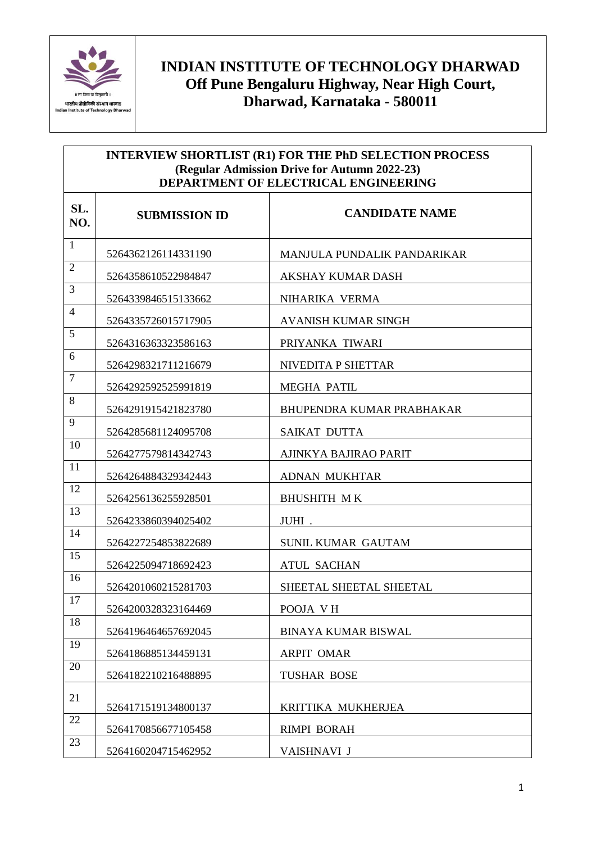

| <b>INTERVIEW SHORTLIST (R1) FOR THE PhD SELECTION PROCESS</b><br>(Regular Admission Drive for Autumn 2022-23)<br>DEPARTMENT OF ELECTRICAL ENGINEERING |                      |                                  |
|-------------------------------------------------------------------------------------------------------------------------------------------------------|----------------------|----------------------------------|
| SL.<br>NO.                                                                                                                                            | <b>SUBMISSION ID</b> | <b>CANDIDATE NAME</b>            |
| $\mathbf{1}$                                                                                                                                          | 5264362126114331190  | MANJULA PUNDALIK PANDARIKAR      |
| $\overline{2}$                                                                                                                                        | 5264358610522984847  | <b>AKSHAY KUMAR DASH</b>         |
| 3                                                                                                                                                     | 5264339846515133662  | NIHARIKA VERMA                   |
| $\overline{4}$                                                                                                                                        | 5264335726015717905  | <b>AVANISH KUMAR SINGH</b>       |
| 5                                                                                                                                                     | 5264316363323586163  | PRIYANKA TIWARI                  |
| 6                                                                                                                                                     | 5264298321711216679  | NIVEDITA P SHETTAR               |
| $\overline{7}$                                                                                                                                        | 5264292592525991819  | <b>MEGHA PATIL</b>               |
| 8                                                                                                                                                     | 5264291915421823780  | <b>BHUPENDRA KUMAR PRABHAKAR</b> |
| 9                                                                                                                                                     | 5264285681124095708  | <b>SAIKAT DUTTA</b>              |
| 10                                                                                                                                                    | 5264277579814342743  | AJINKYA BAJIRAO PARIT            |
| 11                                                                                                                                                    | 5264264884329342443  | <b>ADNAN MUKHTAR</b>             |
| 12                                                                                                                                                    | 5264256136255928501  | <b>BHUSHITH MK</b>               |
| 13                                                                                                                                                    | 5264233860394025402  | JUHI.                            |
| 14                                                                                                                                                    | 5264227254853822689  | SUNIL KUMAR GAUTAM               |
| 15                                                                                                                                                    | 5264225094718692423  | <b>ATUL SACHAN</b>               |
| 16                                                                                                                                                    | 5264201060215281703  | SHEETAL SHEETAL SHEETAL          |
| $\overline{17}$                                                                                                                                       | 5264200328323164469  | POOJA VH                         |
| 18                                                                                                                                                    | 5264196464657692045  | <b>BINAYA KUMAR BISWAL</b>       |
| 19                                                                                                                                                    | 5264186885134459131  | <b>ARPIT OMAR</b>                |
| 20                                                                                                                                                    | 5264182210216488895  | <b>TUSHAR BOSE</b>               |
| 21                                                                                                                                                    | 5264171519134800137  | KRITTIKA MUKHERJEA               |
| 22                                                                                                                                                    | 5264170856677105458  | <b>RIMPI BORAH</b>               |
| 23                                                                                                                                                    | 5264160204715462952  | VAISHNAVI J                      |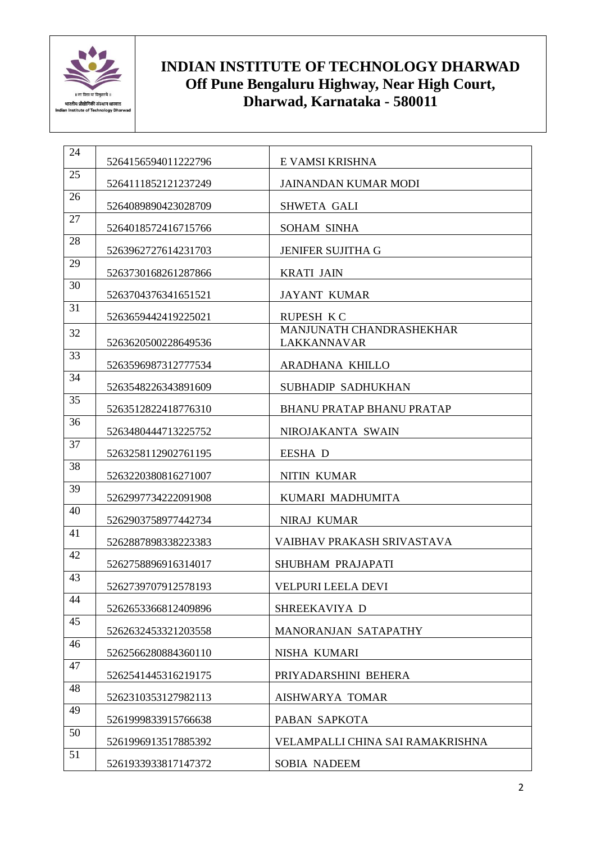

| 24 | 5264156594011222796 | E VAMSI KRISHNA                         |
|----|---------------------|-----------------------------------------|
| 25 | 5264111852121237249 | <b>JAINANDAN KUMAR MODI</b>             |
| 26 | 5264089890423028709 | <b>SHWETA GALI</b>                      |
| 27 | 5264018572416715766 | <b>SOHAM SINHA</b>                      |
| 28 | 5263962727614231703 | <b>JENIFER SUJITHA G</b>                |
| 29 | 5263730168261287866 | <b>KRATI JAIN</b>                       |
| 30 | 5263704376341651521 | <b>JAYANT KUMAR</b>                     |
| 31 | 5263659442419225021 | <b>RUPESH KC</b>                        |
| 32 | 5263620500228649536 | MANJUNATH CHANDRASHEKHAR<br>LAKKANNAVAR |
| 33 | 5263596987312777534 | ARADHANA KHILLO                         |
| 34 | 5263548226343891609 | SUBHADIP SADHUKHAN                      |
| 35 | 5263512822418776310 | <b>BHANU PRATAP BHANU PRATAP</b>        |
| 36 | 5263480444713225752 | NIROJAKANTA SWAIN                       |
| 37 | 5263258112902761195 | <b>EESHA D</b>                          |
| 38 | 5263220380816271007 | <b>NITIN KUMAR</b>                      |
| 39 | 5262997734222091908 | KUMARI MADHUMITA                        |
| 40 | 5262903758977442734 | NIRAJ KUMAR                             |
| 41 | 5262887898338223383 | VAIBHAV PRAKASH SRIVASTAVA              |
| 42 | 5262758896916314017 | SHUBHAM PRAJAPATI                       |
| 43 | 5262739707912578193 | <b>VELPURI LEELA DEVI</b>               |
| 44 | 5262653366812409896 | SHREEKAVIYA D                           |
| 45 | 5262632453321203558 | <b>MANORANJAN SATAPATHY</b>             |
| 46 | 5262566280884360110 | NISHA KUMARI                            |
| 47 | 5262541445316219175 | PRIYADARSHINI BEHERA                    |
| 48 | 5262310353127982113 | <b>AISHWARYA TOMAR</b>                  |
| 49 | 5261999833915766638 | PABAN SAPKOTA                           |
| 50 | 5261996913517885392 | VELAMPALLI CHINA SAI RAMAKRISHNA        |
| 51 | 5261933933817147372 | <b>SOBIA NADEEM</b>                     |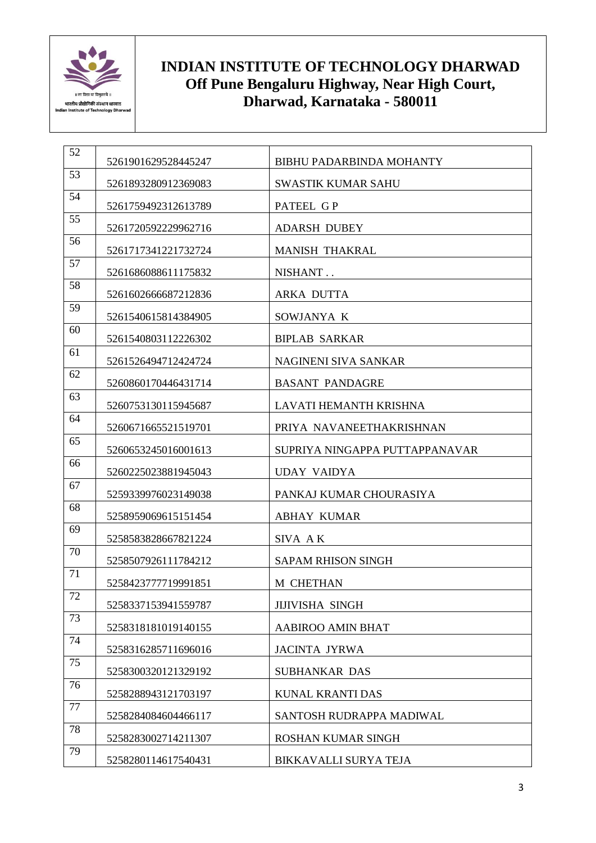

| 52 | 5261901629528445247 | <b>BIBHU PADARBINDA MOHANTY</b> |
|----|---------------------|---------------------------------|
| 53 | 5261893280912369083 | <b>SWASTIK KUMAR SAHU</b>       |
| 54 | 5261759492312613789 | PATEEL GP                       |
| 55 | 5261720592229962716 | <b>ADARSH DUBEY</b>             |
| 56 | 5261717341221732724 | <b>MANISH THAKRAL</b>           |
| 57 | 5261686088611175832 | NISHANT                         |
| 58 | 5261602666687212836 | <b>ARKA DUTTA</b>               |
| 59 | 5261540615814384905 | SOWJANYA K                      |
| 60 | 5261540803112226302 | <b>BIPLAB SARKAR</b>            |
| 61 | 5261526494712424724 | NAGINENI SIVA SANKAR            |
| 62 | 5260860170446431714 | <b>BASANT PANDAGRE</b>          |
| 63 | 5260753130115945687 | LAVATI HEMANTH KRISHNA          |
| 64 | 5260671665521519701 | PRIYA NAVANEETHAKRISHNAN        |
| 65 | 5260653245016001613 | SUPRIYA NINGAPPA PUTTAPPANAVAR  |
| 66 | 5260225023881945043 | <b>UDAY VAIDYA</b>              |
| 67 | 5259339976023149038 | PANKAJ KUMAR CHOURASIYA         |
| 68 | 5258959069615151454 | <b>ABHAY KUMAR</b>              |
| 69 | 5258583828667821224 | SIVA AK                         |
| 70 | 5258507926111784212 | <b>SAPAM RHISON SINGH</b>       |
| 71 | 5258423777719991851 | M CHETHAN                       |
| 72 | 5258337153941559787 | <b>JIJIVISHA SINGH</b>          |
| 73 | 5258318181019140155 | AABIROO AMIN BHAT               |
| 74 | 5258316285711696016 | <b>JACINTA JYRWA</b>            |
| 75 | 5258300320121329192 | SUBHANKAR DAS                   |
| 76 | 5258288943121703197 | KUNAL KRANTI DAS                |
| 77 | 5258284084604466117 | SANTOSH RUDRAPPA MADIWAL        |
| 78 | 5258283002714211307 | <b>ROSHAN KUMAR SINGH</b>       |
| 79 | 5258280114617540431 | <b>BIKKAVALLI SURYA TEJA</b>    |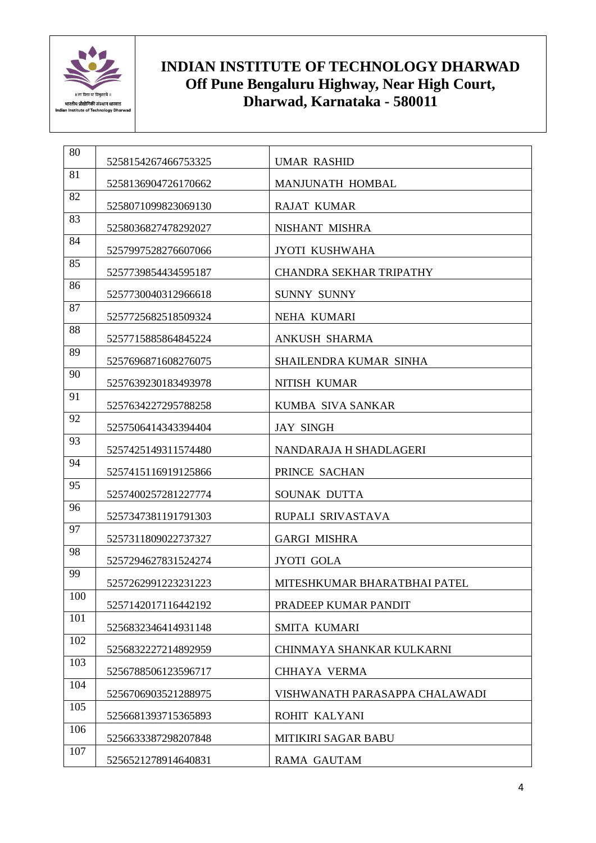

| 80  | 5258154267466753325 | <b>UMAR RASHID</b>             |
|-----|---------------------|--------------------------------|
| 81  | 5258136904726170662 | MANJUNATH HOMBAL               |
| 82  | 5258071099823069130 | <b>RAJAT KUMAR</b>             |
| 83  | 5258036827478292027 | NISHANT MISHRA                 |
| 84  | 5257997528276607066 | <b>JYOTI KUSHWAHA</b>          |
| 85  | 5257739854434595187 | <b>CHANDRA SEKHAR TRIPATHY</b> |
| 86  | 5257730040312966618 | <b>SUNNY SUNNY</b>             |
| 87  | 5257725682518509324 | NEHA KUMARI                    |
| 88  | 5257715885864845224 | <b>ANKUSH SHARMA</b>           |
| 89  | 5257696871608276075 | SHAILENDRA KUMAR SINHA         |
| 90  | 5257639230183493978 | NITISH KUMAR                   |
| 91  | 5257634227295788258 | KUMBA SIVA SANKAR              |
| 92  | 5257506414343394404 | <b>JAY SINGH</b>               |
| 93  | 5257425149311574480 | NANDARAJA H SHADLAGERI         |
| 94  | 5257415116919125866 | PRINCE SACHAN                  |
| 95  | 5257400257281227774 | SOUNAK DUTTA                   |
| 96  | 5257347381191791303 | RUPALI SRIVASTAVA              |
| 97  | 5257311809022737327 | <b>GARGI MISHRA</b>            |
| 98  | 5257294627831524274 | <b>JYOTI GOLA</b>              |
| 99  | 5257262991223231223 | MITESHKUMAR BHARATBHAI PATEL   |
| 100 | 5257142017116442192 | PRADEEP KUMAR PANDIT           |
| 101 | 5256832346414931148 | SMITA KUMARI                   |
| 102 | 5256832227214892959 | CHINMAYA SHANKAR KULKARNI      |
| 103 | 5256788506123596717 | CHHAYA VERMA                   |
| 104 | 5256706903521288975 | VISHWANATH PARASAPPA CHALAWADI |
| 105 | 5256681393715365893 | ROHIT KALYANI                  |
| 106 | 5256633387298207848 | MITIKIRI SAGAR BABU            |
| 107 | 5256521278914640831 | <b>RAMA GAUTAM</b>             |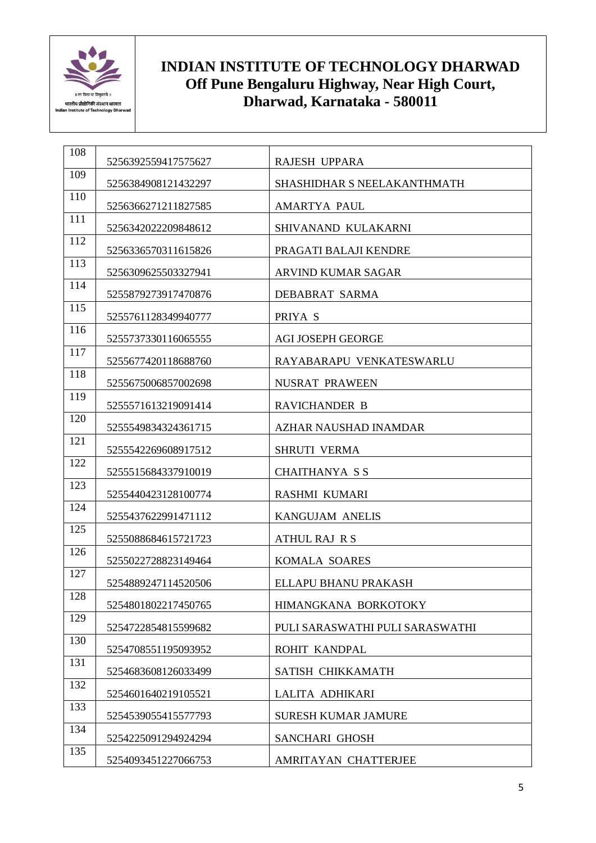

| 108 | 5256392559417575627 | RAJESH UPPARA                   |
|-----|---------------------|---------------------------------|
| 109 | 5256384908121432297 | SHASHIDHAR S NEELAKANTHMATH     |
| 110 | 5256366271211827585 | <b>AMARTYA PAUL</b>             |
| 111 | 5256342022209848612 | SHIVANAND KULAKARNI             |
| 112 | 5256336570311615826 | PRAGATI BALAJI KENDRE           |
| 113 | 5256309625503327941 | ARVIND KUMAR SAGAR              |
| 114 | 5255879273917470876 | DEBABRAT SARMA                  |
| 115 | 5255761128349940777 | PRIYA S                         |
| 116 | 5255737330116065555 | <b>AGI JOSEPH GEORGE</b>        |
| 117 | 5255677420118688760 | RAYABARAPU VENKATESWARLU        |
| 118 | 5255675006857002698 | NUSRAT PRAWEEN                  |
| 119 | 5255571613219091414 | RAVICHANDER B                   |
| 120 | 5255549834324361715 | AZHAR NAUSHAD INAMDAR           |
| 121 | 5255542269608917512 | <b>SHRUTI VERMA</b>             |
| 122 | 5255515684337910019 | <b>CHAITHANYA S S</b>           |
| 123 | 5255440423128100774 | RASHMI KUMARI                   |
| 124 | 5255437622991471112 | <b>KANGUJAM ANELIS</b>          |
| 125 | 5255088684615721723 | <b>ATHUL RAJ R S</b>            |
| 126 | 5255022728823149464 | <b>KOMALA SOARES</b>            |
| 127 | 5254889247114520506 | ELLAPU BHANU PRAKASH            |
| 128 | 5254801802217450765 | HIMANGKANA BORKOTOKY            |
| 129 | 5254722854815599682 | PULI SARASWATHI PULI SARASWATHI |
| 130 | 5254708551195093952 | ROHIT KANDPAL                   |
| 131 | 5254683608126033499 | SATISH CHIKKAMATH               |
| 132 | 5254601640219105521 | LALITA ADHIKARI                 |
| 133 | 5254539055415577793 | <b>SURESH KUMAR JAMURE</b>      |
| 134 | 5254225091294924294 | SANCHARI GHOSH                  |
| 135 | 5254093451227066753 | AMRITAYAN CHATTERJEE            |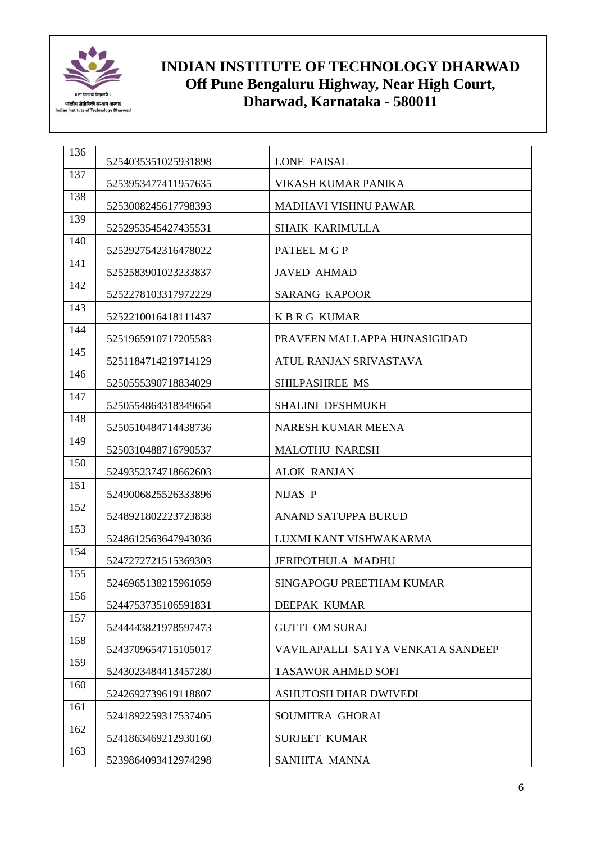

| 136 | 5254035351025931898 | <b>LONE FAISAL</b>                |
|-----|---------------------|-----------------------------------|
| 137 | 5253953477411957635 | VIKASH KUMAR PANIKA               |
| 138 | 5253008245617798393 | <b>MADHAVI VISHNU PAWAR</b>       |
| 139 | 5252953545427435531 | <b>SHAIK KARIMULLA</b>            |
| 140 | 5252927542316478022 | PATEEL M G P                      |
| 141 | 5252583901023233837 | <b>JAVED AHMAD</b>                |
| 142 | 5252278103317972229 | <b>SARANG KAPOOR</b>              |
| 143 | 5252210016418111437 | <b>KBRG KUMAR</b>                 |
| 144 | 5251965910717205583 | PRAVEEN MALLAPPA HUNASIGIDAD      |
| 145 | 5251184714219714129 | ATUL RANJAN SRIVASTAVA            |
| 146 | 5250555390718834029 | SHILPASHREE MS                    |
| 147 | 5250554864318349654 | SHALINI DESHMUKH                  |
| 148 | 5250510484714438736 | NARESH KUMAR MEENA                |
| 149 | 5250310488716790537 | <b>MALOTHU NARESH</b>             |
| 150 | 5249352374718662603 | <b>ALOK RANJAN</b>                |
| 151 | 5249006825526333896 | NIJAS P                           |
| 152 | 5248921802223723838 | ANAND SATUPPA BURUD               |
| 153 | 5248612563647943036 | LUXMI KANT VISHWAKARMA            |
| 154 | 5247272721515369303 | <b>JERIPOTHULA MADHU</b>          |
| 155 | 5246965138215961059 | SINGAPOGU PREETHAM KUMAR          |
| 156 | 5244753735106591831 | DEEPAK KUMAR                      |
| 157 | 5244443821978597473 | <b>GUTTI OM SURAJ</b>             |
| 158 | 5243709654715105017 | VAVILAPALLI SATYA VENKATA SANDEEP |
| 159 | 5243023484413457280 | <b>TASAWOR AHMED SOFI</b>         |
| 160 | 5242692739619118807 | ASHUTOSH DHAR DWIVEDI             |
| 161 | 5241892259317537405 | SOUMITRA GHORAI                   |
| 162 | 5241863469212930160 | <b>SURJEET KUMAR</b>              |
| 163 | 5239864093412974298 | SANHITA MANNA                     |